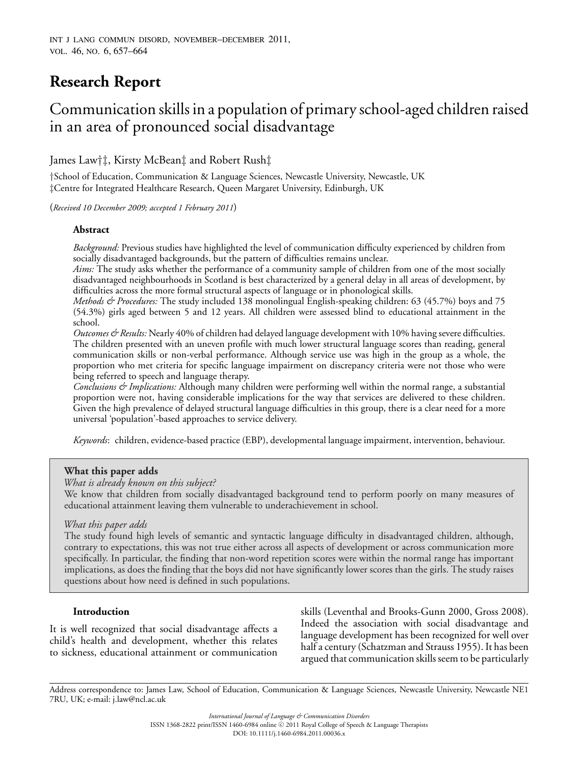# **Research Report**

# Communication skills in a population of primary school-aged children raised in an area of pronounced social disadvantage

James Law†‡, Kirsty McBean‡ and Robert Rush‡

†School of Education, Communication & Language Sciences, Newcastle University, Newcastle, UK ‡Centre for Integrated Healthcare Research, Queen Margaret University, Edinburgh, UK

(*Received 10 December 2009; accepted 1 February 2011*)

# **Abstract**

*Background:* Previous studies have highlighted the level of communication difficulty experienced by children from socially disadvantaged backgrounds, but the pattern of difficulties remains unclear.

*Aims:* The study asks whether the performance of a community sample of children from one of the most socially disadvantaged neighbourhoods in Scotland is best characterized by a general delay in all areas of development, by difficulties across the more formal structural aspects of language or in phonological skills.

*Methods & Procedures:* The study included 138 monolingual English-speaking children: 63 (45.7%) boys and 75 (54.3%) girls aged between 5 and 12 years. All children were assessed blind to educational attainment in the school.

*Outcomes & Results:* Nearly 40% of children had delayed language development with 10% having severe difficulties. The children presented with an uneven profile with much lower structural language scores than reading, general communication skills or non-verbal performance. Although service use was high in the group as a whole, the proportion who met criteria for specific language impairment on discrepancy criteria were not those who were being referred to speech and language therapy.

*Conclusions & Implications:* Although many children were performing well within the normal range, a substantial proportion were not, having considerable implications for the way that services are delivered to these children. Given the high prevalence of delayed structural language difficulties in this group, there is a clear need for a more universal 'population'-based approaches to service delivery.

*Keywords*: children, evidence-based practice (EBP), developmental language impairment, intervention, behaviour.

# **What this paper adds**

# *What is already known on this subject?*

We know that children from socially disadvantaged background tend to perform poorly on many measures of educational attainment leaving them vulnerable to underachievement in school.

# *What this paper adds*

The study found high levels of semantic and syntactic language difficulty in disadvantaged children, although, contrary to expectations, this was not true either across all aspects of development or across communication more specifically. In particular, the finding that non-word repetition scores were within the normal range has important implications, as does the finding that the boys did not have significantly lower scores than the girls. The study raises questions about how need is defined in such populations.

# **Introduction**

It is well recognized that social disadvantage affects a child's health and development, whether this relates to sickness, educational attainment or communication

skills (Leventhal and Brooks-Gunn 2000, Gross 2008). Indeed the association with social disadvantage and language development has been recognized for well over half a century (Schatzman and Strauss 1955). It has been argued that communication skills seem to be particularly

Address correspondence to: James Law, School of Education, Communication & Language Sciences, Newcastle University, Newcastle NE1 7RU, UK; e-mail: j.law@ncl.ac.uk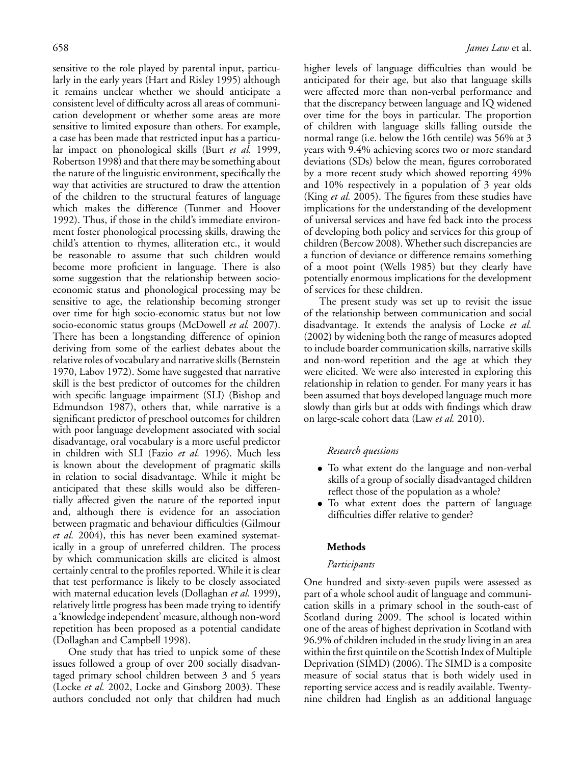sensitive to the role played by parental input, particularly in the early years (Hart and Risley 1995) although it remains unclear whether we should anticipate a consistent level of difficulty across all areas of communication development or whether some areas are more sensitive to limited exposure than others. For example, a case has been made that restricted input has a particular impact on phonological skills (Burt *et al.* 1999, Robertson 1998) and that there may be something about the nature of the linguistic environment, specifically the way that activities are structured to draw the attention of the children to the structural features of language which makes the difference (Tunmer and Hoover 1992). Thus, if those in the child's immediate environment foster phonological processing skills, drawing the child's attention to rhymes, alliteration etc., it would be reasonable to assume that such children would become more proficient in language. There is also some suggestion that the relationship between socioeconomic status and phonological processing may be sensitive to age, the relationship becoming stronger over time for high socio-economic status but not low socio-economic status groups (McDowell *et al.* 2007). There has been a longstanding difference of opinion deriving from some of the earliest debates about the relative roles of vocabulary and narrative skills (Bernstein 1970, Labov 1972). Some have suggested that narrative skill is the best predictor of outcomes for the children with specific language impairment (SLI) (Bishop and Edmundson 1987), others that, while narrative is a significant predictor of preschool outcomes for children with poor language development associated with social disadvantage, oral vocabulary is a more useful predictor in children with SLI (Fazio *et al.* 1996). Much less is known about the development of pragmatic skills in relation to social disadvantage. While it might be anticipated that these skills would also be differentially affected given the nature of the reported input and, although there is evidence for an association between pragmatic and behaviour difficulties (Gilmour *et al.* 2004), this has never been examined systematically in a group of unreferred children. The process by which communication skills are elicited is almost certainly central to the profiles reported. While it is clear that test performance is likely to be closely associated with maternal education levels (Dollaghan *et al.* 1999), relatively little progress has been made trying to identify a 'knowledge independent' measure, although non-word repetition has been proposed as a potential candidate (Dollaghan and Campbell 1998).

One study that has tried to unpick some of these issues followed a group of over 200 socially disadvantaged primary school children between 3 and 5 years (Locke *et al.* 2002, Locke and Ginsborg 2003). These authors concluded not only that children had much

higher levels of language difficulties than would be anticipated for their age, but also that language skills were affected more than non-verbal performance and that the discrepancy between language and IQ widened over time for the boys in particular. The proportion of children with language skills falling outside the normal range (i.e. below the 16th centile) was 56% at 3 years with 9.4% achieving scores two or more standard deviations (SDs) below the mean, figures corroborated by a more recent study which showed reporting 49% and 10% respectively in a population of 3 year olds (King *et al.* 2005). The figures from these studies have implications for the understanding of the development of universal services and have fed back into the process of developing both policy and services for this group of children (Bercow 2008). Whether such discrepancies are a function of deviance or difference remains something of a moot point (Wells 1985) but they clearly have potentially enormous implications for the development of services for these children.

The present study was set up to revisit the issue of the relationship between communication and social disadvantage. It extends the analysis of Locke *et al.* (2002) by widening both the range of measures adopted to include boarder communication skills, narrative skills and non-word repetition and the age at which they were elicited. We were also interested in exploring this relationship in relation to gender. For many years it has been assumed that boys developed language much more slowly than girls but at odds with findings which draw on large-scale cohort data (Law *et al.* 2010).

## *Research questions*

- To what extent do the language and non-verbal skills of a group of socially disadvantaged children reflect those of the population as a whole?
- To what extent does the pattern of language difficulties differ relative to gender?

## **Methods**

#### *Participants*

One hundred and sixty-seven pupils were assessed as part of a whole school audit of language and communication skills in a primary school in the south-east of Scotland during 2009. The school is located within one of the areas of highest deprivation in Scotland with 96.9% of children included in the study living in an area within the first quintile on the Scottish Index of Multiple Deprivation (SIMD) (2006). The SIMD is a composite measure of social status that is both widely used in reporting service access and is readily available. Twentynine children had English as an additional language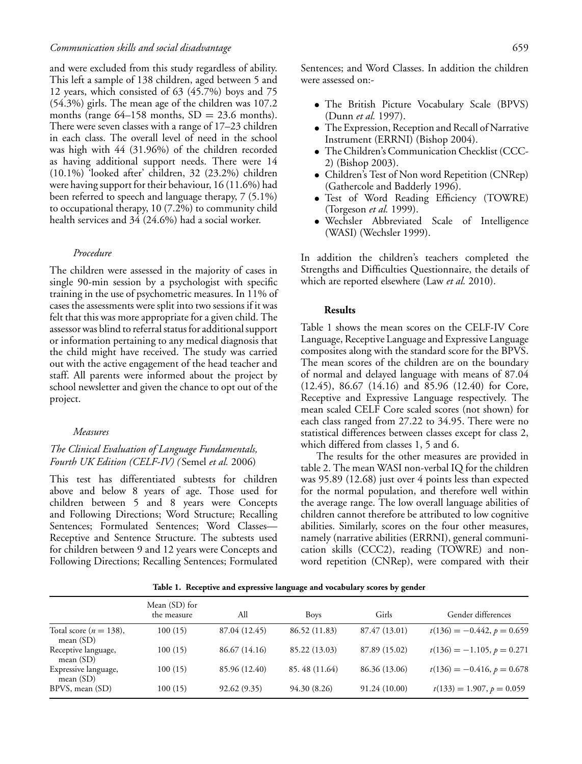and were excluded from this study regardless of ability. This left a sample of 138 children, aged between 5 and 12 years, which consisted of 63 (45.7%) boys and 75 (54.3%) girls. The mean age of the children was 107.2 months (range  $64-158$  months,  $SD = 23.6$  months). There were seven classes with a range of 17–23 children in each class. The overall level of need in the school was high with 44 (31.96%) of the children recorded as having additional support needs. There were 14 (10.1%) 'looked after' children, 32 (23.2%) children were having support for their behaviour, 16 (11.6%) had been referred to speech and language therapy, 7 (5.1%) to occupational therapy, 10 (7.2%) to community child health services and  $34$  (24.6%) had a social worker.

## *Procedure*

The children were assessed in the majority of cases in single 90-min session by a psychologist with specific training in the use of psychometric measures. In 11% of cases the assessments were split into two sessions if it was felt that this was more appropriate for a given child. The assessor was blind to referral status for additional support or information pertaining to any medical diagnosis that the child might have received. The study was carried out with the active engagement of the head teacher and staff. All parents were informed about the project by school newsletter and given the chance to opt out of the project.

## *Measures*

# *The Clinical Evaluation of Language Fundamentals, Fourth UK Edition (CELF-IV) (* Semel *et al.* 2006)

This test has differentiated subtests for children above and below 8 years of age. Those used for children between 5 and 8 years were Concepts and Following Directions; Word Structure; Recalling Sentences; Formulated Sentences; Word Classes— Receptive and Sentence Structure. The subtests used for children between 9 and 12 years were Concepts and Following Directions; Recalling Sentences; Formulated Sentences; and Word Classes. In addition the children were assessed on:-

- The British Picture Vocabulary Scale (BPVS) (Dunn *et al.* 1997).
- The Expression, Reception and Recall of Narrative Instrument (ERRNI) (Bishop 2004).
- The Children's Communication Checklist (CCC-2) (Bishop 2003).
- Children's Test of Non word Repetition (CNRep) (Gathercole and Badderly 1996).
- Test of Word Reading Efficiency (TOWRE) (Torgeson *et al.* 1999).
- Wechsler Abbreviated Scale of Intelligence (WASI) (Wechsler 1999).

In addition the children's teachers completed the Strengths and Difficulties Questionnaire, the details of which are reported elsewhere (Law *et al.* 2010).

## **Results**

Table 1 shows the mean scores on the CELF-IV Core Language, Receptive Language and Expressive Language composites along with the standard score for the BPVS. The mean scores of the children are on the boundary of normal and delayed language with means of 87.04 (12.45), 86.67 (14.16) and 85.96 (12.40) for Core, Receptive and Expressive Language respectively. The mean scaled CELF Core scaled scores (not shown) for each class ranged from 27.22 to 34.95. There were no statistical differences between classes except for class 2, which differed from classes 1, 5 and 6.

The results for the other measures are provided in table 2. The mean WASI non-verbal IQ for the children was 95.89 (12.68) just over 4 points less than expected for the normal population, and therefore well within the average range. The low overall language abilities of children cannot therefore be attributed to low cognitive abilities. Similarly, scores on the four other measures, namely (narrative abilities (ERRNI), general communication skills (CCC2), reading (TOWRE) and nonword repetition (CNRep), were compared with their

**Table 1. Receptive and expressive language and vocabulary scores by gender**

|                                           | Mean (SD) for<br>the measure | All           | <b>Boys</b>   | Girls         | Gender differences              |
|-------------------------------------------|------------------------------|---------------|---------------|---------------|---------------------------------|
| Total score ( $n = 138$ ),<br>mean $(SD)$ | 100(15)                      | 87.04 (12.45) | 86.52 (11.83) | 87.47 (13.01) | $t(136) = -0.442$ , $p = 0.659$ |
| Receptive language,<br>mean $(SD)$        | 100(15)                      | 86.67 (14.16) | 85.22 (13.03) | 87.89 (15.02) | $t(136) = -1.105, p = 0.271$    |
| Expressive language,<br>mean $(SD)$       | 100(15)                      | 85.96 (12.40) | 85.48 (11.64) | 86.36 (13.06) | $t(136) = -0.416$ , $p = 0.678$ |
| BPVS, mean (SD)                           | 100(15)                      | 92.62(9.35)   | 94.30 (8.26)  | 91.24(10.00)  | $t(133) = 1.907, p = 0.059$     |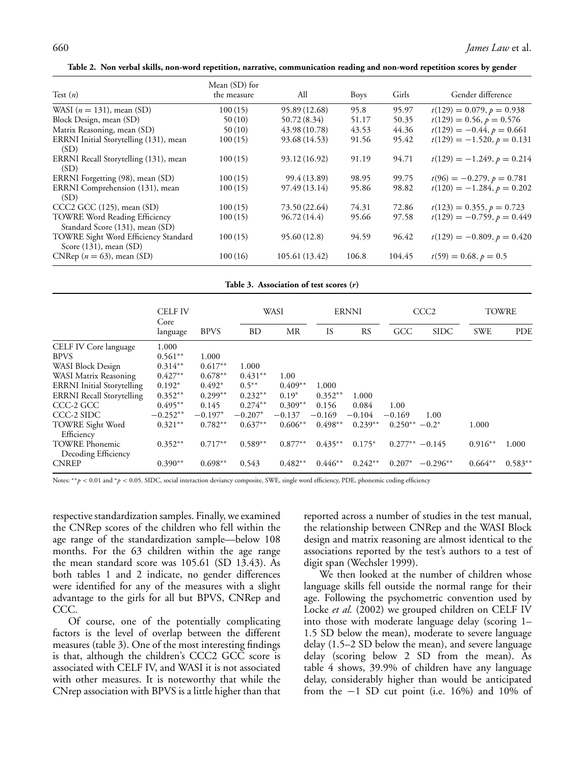| Table 2. Non verbal skills, non-word repetition, narrative, communication reading and non-word repetition scores by gender |  |  |  |  |  |  |
|----------------------------------------------------------------------------------------------------------------------------|--|--|--|--|--|--|
|----------------------------------------------------------------------------------------------------------------------------|--|--|--|--|--|--|

| Test $(n)$                                                          | Mean (SD) for<br>the measure | All            | <b>Boys</b> | Girls  | Gender difference            |
|---------------------------------------------------------------------|------------------------------|----------------|-------------|--------|------------------------------|
| WASI $(n = 131)$ , mean (SD)                                        | 100(15)                      | 95.89 (12.68)  | 95.8        | 95.97  | $t(129) = 0.079, p = 0.938$  |
| Block Design, mean (SD)                                             | 50(10)                       | 50.72 (8.34)   | 51.17       | 50.35  | $t(129) = 0.56, p = 0.576$   |
| Matrix Reasoning, mean (SD)                                         | 50(10)                       | 43.98 (10.78)  | 43.53       | 44.36  | $t(129) = -0.44, p = 0.661$  |
| ERRNI Initial Storytelling (131), mean<br>(SD)                      | 100(15)                      | 93.68 (14.53)  | 91.56       | 95.42  | $t(129) = -1.520, p = 0.131$ |
| ERRNI Recall Storytelling (131), mean<br>(SD)                       | 100(15)                      | 93.12 (16.92)  | 91.19       | 94.71  | $t(129) = -1.249, p = 0.214$ |
| ERRNI Forgetting (98), mean (SD)                                    | 100(15)                      | 99.4 (13.89)   | 98.95       | 99.75  | $t(96) = -0.279, p = 0.781$  |
| ERRNI Comprehension (131), mean<br>(SD)                             | 100(15)                      | 97.49 (13.14)  | 95.86       | 98.82  | $t(120) = -1.284, p = 0.202$ |
| CCC2 GCC (125), mean (SD)                                           | 100(15)                      | 73.50 (22.64)  | 74.31       | 72.86  | $t(123) = 0.355, p = 0.723$  |
| TOWRE Word Reading Efficiency<br>Standard Score (131), mean (SD)    | 100(15)                      | 96.72(14.4)    | 95.66       | 97.58  | $t(129) = -0.759, p = 0.449$ |
| TOWRE Sight Word Efficiency Standard<br>Score $(131)$ , mean $(SD)$ | 100(15)                      | 95.60(12.8)    | 94.59       | 96.42  | $t(129) = -0.809, p = 0.420$ |
| CNRep ( $n = 63$ ), mean (SD)                                       | 100(16)                      | 105.61 (13.42) | 106.8       | 104.45 | $t(59) = 0.68, p = 0.5$      |

| Table 3. Association of test scores $(r)$ |  |  |
|-------------------------------------------|--|--|
|-------------------------------------------|--|--|

|                                              | <b>CELF IV</b><br>Core<br>language |             |           | WASI      |           | <b>ERNNI</b> | CCC <sub>2</sub> |             | <b>TOWRE</b> |            |
|----------------------------------------------|------------------------------------|-------------|-----------|-----------|-----------|--------------|------------------|-------------|--------------|------------|
|                                              |                                    | <b>BPVS</b> | <b>BD</b> | <b>MR</b> | <b>IS</b> | <b>RS</b>    | GCC              | <b>SIDC</b> | <b>SWE</b>   | <b>PDE</b> |
| CELF IV Core language                        | 1.000                              |             |           |           |           |              |                  |             |              |            |
| <b>BPVS</b>                                  | $0.561**$                          | 1.000       |           |           |           |              |                  |             |              |            |
| WASI Block Design                            | $0.314**$                          | $0.617**$   | 1.000     |           |           |              |                  |             |              |            |
| WASI Matrix Reasoning                        | $0.427**$                          | $0.678**$   | $0.431**$ | 1.00      |           |              |                  |             |              |            |
| <b>ERRNI</b> Initial Storytelling            | $0.192*$                           | $0.492*$    | $0.5***$  | $0.409**$ | 1.000     |              |                  |             |              |            |
| <b>ERRNI</b> Recall Storytelling             | $0.352**$                          | $0.299**$   | $0.232**$ | $0.19*$   | $0.352**$ | 1.000        |                  |             |              |            |
| CCC-2 GCC                                    | $0.495**$                          | 0.145       | $0.274**$ | $0.309**$ | 0.156     | 0.084        | 1.00             |             |              |            |
| CCC-2 SIDC                                   | $-0.252**$                         | $-0.197*$   | $-0.207*$ | $-0.137$  | $-0.169$  | $-0.104$     | $-0.169$         | 1.00        |              |            |
| TOWRE Sight Word<br>Efficiency               | $0.321**$                          | $0.782**$   | $0.637**$ | $0.606**$ | $0.498**$ | $0.239**$    | $0.250**$        | $-0.2^*$    | 1.000        |            |
| <b>TOWRE Phonemic</b><br>Decoding Efficiency | $0.352**$                          | $0.717**$   | $0.589**$ | $0.877**$ | $0.435**$ | $0.175*$     | $0.277** -0.145$ |             | $0.916**$    | 1.000      |
| <b>CNREP</b>                                 | $0.390**$                          | $0.698**$   | 0.543     | $0.482**$ | $0.446**$ | $0.242**$    | $0.207*$         | $-0.296**$  | $0.664**$    | $0.583**$  |

Notes: ∗∗*p* < 0.01 and <sup>∗</sup>*p* < 0.05. SIDC, social interaction deviancy composite, SWE, single word efficiency, PDE, phonemic coding efficiency

respective standardization samples. Finally, we examined the CNRep scores of the children who fell within the age range of the standardization sample—below 108 months. For the 63 children within the age range the mean standard score was 105.61 (SD 13.43). As both tables 1 and 2 indicate, no gender differences were identified for any of the measures with a slight advantage to the girls for all but BPVS, CNRep and CCC.

Of course, one of the potentially complicating factors is the level of overlap between the different measures (table 3). One of the most interesting findings is that, although the children's CCC2 GCC score is associated with CELF IV, and WASI it is not associated with other measures. It is noteworthy that while the CNrep association with BPVS is a little higher than that reported across a number of studies in the test manual, the relationship between CNRep and the WASI Block design and matrix reasoning are almost identical to the associations reported by the test's authors to a test of digit span (Wechsler 1999).

We then looked at the number of children whose language skills fell outside the normal range for their age. Following the psychometric convention used by Locke *et al.* (2002) we grouped children on CELF IV into those with moderate language delay (scoring 1– 1.5 SD below the mean), moderate to severe language delay (1.5–2 SD below the mean), and severe language delay (scoring below 2 SD from the mean). As table 4 shows, 39.9% of children have any language delay, considerably higher than would be anticipated from the  $-1$  SD cut point (i.e. 16%) and 10% of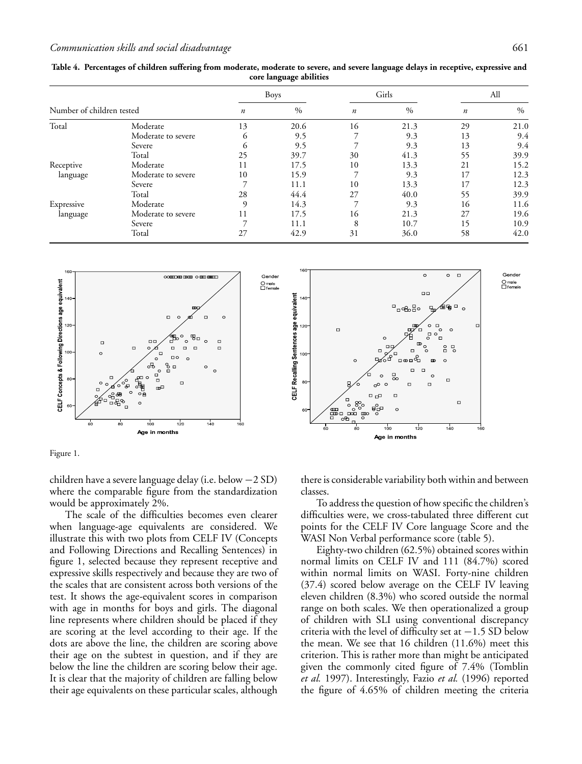|                           |                    | Boys             |      |                  | Girls |                  | All  |  |  |  |
|---------------------------|--------------------|------------------|------|------------------|-------|------------------|------|--|--|--|
| Number of children tested |                    | $\boldsymbol{n}$ | $\%$ | $\boldsymbol{n}$ | $\%$  | $\boldsymbol{n}$ | $\%$ |  |  |  |
| Total                     | Moderate           | 13               | 20.6 | 16               | 21.3  | 29               | 21.0 |  |  |  |
|                           | Moderate to severe | 6                | 9.5  |                  | 9.3   | 13               | 9.4  |  |  |  |
|                           | Severe             | 6                | 9.5  |                  | 9.3   | 13               | 9.4  |  |  |  |
|                           | Total              | 25               | 39.7 | 30               | 41.3  | 55               | 39.9 |  |  |  |
| Receptive                 | Moderate           | 11               | 17.5 | 10               | 13.3  | 21               | 15.2 |  |  |  |
| language                  | Moderate to severe | 10               | 15.9 |                  | 9.3   | 17               | 12.3 |  |  |  |
|                           | Severe             |                  | 11.1 | 10               | 13.3  | 17               | 12.3 |  |  |  |
|                           | Total              | 28               | 44.4 | 27               | 40.0  | 55               | 39.9 |  |  |  |
| Expressive                | Moderate           | $\Omega$         | 14.3 |                  | 9.3   | 16               | 11.6 |  |  |  |
| language                  | Moderate to severe | 11               | 17.5 | 16               | 21.3  | 27               | 19.6 |  |  |  |
|                           | Severe             |                  | 11.1 | 8                | 10.7  | 15               | 10.9 |  |  |  |
|                           |                    |                  |      |                  |       |                  |      |  |  |  |

Total 27 42.9 31 36.0 58 42.0

**Table 4. Percentages of children suffering from moderate, moderate to severe, and severe language delays in receptive, expressive and core language abilities**





children have a severe language delay (i.e. below −2 SD) where the comparable figure from the standardization would be approximately 2%.

The scale of the difficulties becomes even clearer when language-age equivalents are considered. We illustrate this with two plots from CELF IV (Concepts and Following Directions and Recalling Sentences) in figure 1, selected because they represent receptive and expressive skills respectively and because they are two of the scales that are consistent across both versions of the test. It shows the age-equivalent scores in comparison with age in months for boys and girls. The diagonal line represents where children should be placed if they are scoring at the level according to their age. If the dots are above the line, the children are scoring above their age on the subtest in question, and if they are below the line the children are scoring below their age. It is clear that the majority of children are falling below their age equivalents on these particular scales, although there is considerable variability both within and between classes.

 $12<sub>0</sub>$ 

 $\circ$ 

 $\Box$ Box

 $\epsilon$ 

 $\epsilon$ 

ுஃஃ

 $\Box$ 

 $\Box$ 

 $\sim$ 

 $\sim$  $\Box$ 

e≍o

 $10<sub>c</sub>$ 

Age in months

 $\circ$  $\Box$ 

≨ந⊐

 $\circ$  $\Box$ 

> $_{\square}^{\text{o}}$  $\overline{a}$

 $\sim$ 

 $\Box$ 

 $140$ 

 $\Box$ 

 $\overline{c}$ 

To address the question of how specific the children's difficulties were, we cross-tabulated three different cut points for the CELF IV Core language Score and the WASI Non Verbal performance score (table 5).

Eighty-two children (62.5%) obtained scores within normal limits on CELF IV and 111 (84.7%) scored within normal limits on WASI. Forty-nine children (37.4) scored below average on the CELF IV leaving eleven children (8.3%) who scored outside the normal range on both scales. We then operationalized a group of children with SLI using conventional discrepancy criteria with the level of difficulty set at −1.5 SD below the mean. We see that 16 children (11.6%) meet this criterion. This is rather more than might be anticipated given the commonly cited figure of 7.4% (Tomblin *et al.* 1997). Interestingly, Fazio *et al.* (1996) reported the figure of 4.65% of children meeting the criteria

Gende

 $O$  male<br>  $O$  female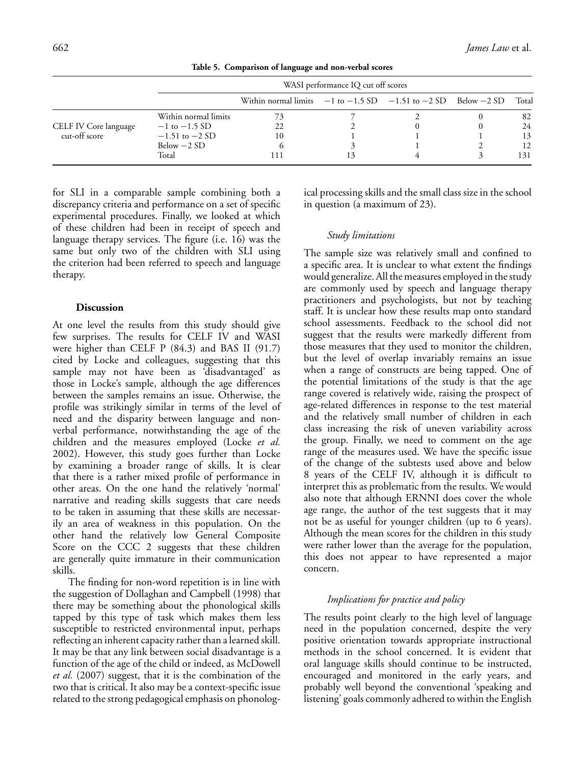**Table 5. Comparison of language and non-verbal scores**

|                       |                      | WASI performance IQ cut off scores                                      |    |  |  |       |  |  |
|-----------------------|----------------------|-------------------------------------------------------------------------|----|--|--|-------|--|--|
|                       |                      | Within normal limits $-1$ to $-1.5$ SD $-1.51$ to $-2$ SD Below $-2$ SD |    |  |  | Total |  |  |
|                       | Within normal limits |                                                                         |    |  |  | 82    |  |  |
| CELF IV Core language | $-1$ to $-1.5$ SD    | 22                                                                      |    |  |  | 24    |  |  |
| cut-off score         | $-1.51$ to $-2$ SD   | 10                                                                      |    |  |  | 13    |  |  |
|                       | $Below -2 SD$        |                                                                         |    |  |  | 12    |  |  |
|                       | Total                |                                                                         | 13 |  |  | 131   |  |  |

for SLI in a comparable sample combining both a discrepancy criteria and performance on a set of specific experimental procedures. Finally, we looked at which of these children had been in receipt of speech and language therapy services. The figure (i.e. 16) was the same but only two of the children with SLI using the criterion had been referred to speech and language therapy.

## **Discussion**

At one level the results from this study should give few surprises. The results for CELF IV and WASI were higher than CELF P (84.3) and BAS II (91.7) cited by Locke and colleagues, suggesting that this sample may not have been as 'disadvantaged' as those in Locke's sample, although the age differences between the samples remains an issue. Otherwise, the profile was strikingly similar in terms of the level of need and the disparity between language and nonverbal performance, notwithstanding the age of the children and the measures employed (Locke *et al.* 2002). However, this study goes further than Locke by examining a broader range of skills. It is clear that there is a rather mixed profile of performance in other areas. On the one hand the relatively 'normal' narrative and reading skills suggests that care needs to be taken in assuming that these skills are necessarily an area of weakness in this population. On the other hand the relatively low General Composite Score on the CCC 2 suggests that these children are generally quite immature in their communication skills.

The finding for non-word repetition is in line with the suggestion of Dollaghan and Campbell (1998) that there may be something about the phonological skills tapped by this type of task which makes them less susceptible to restricted environmental input, perhaps reflecting an inherent capacity rather than a learned skill. It may be that any link between social disadvantage is a function of the age of the child or indeed, as McDowell *et al.* (2007) suggest, that it is the combination of the two that is critical. It also may be a context-specific issue related to the strong pedagogical emphasis on phonological processing skills and the small class size in the school in question (a maximum of 23).

## *Study limitations*

The sample size was relatively small and confined to a specific area. It is unclear to what extent the findings would generalize. All the measures employed in the study are commonly used by speech and language therapy practitioners and psychologists, but not by teaching staff. It is unclear how these results map onto standard school assessments. Feedback to the school did not suggest that the results were markedly different from those measures that they used to monitor the children, but the level of overlap invariably remains an issue when a range of constructs are being tapped. One of the potential limitations of the study is that the age range covered is relatively wide, raising the prospect of age-related differences in response to the test material and the relatively small number of children in each class increasing the risk of uneven variability across the group. Finally, we need to comment on the age range of the measures used. We have the specific issue of the change of the subtests used above and below 8 years of the CELF IV, although it is difficult to interpret this as problematic from the results. We would also note that although ERNNI does cover the whole age range, the author of the test suggests that it may not be as useful for younger children (up to 6 years). Although the mean scores for the children in this study were rather lower than the average for the population, this does not appear to have represented a major concern.

## *Implications for practice and policy*

The results point clearly to the high level of language need in the population concerned, despite the very positive orientation towards appropriate instructional methods in the school concerned. It is evident that oral language skills should continue to be instructed, encouraged and monitored in the early years, and probably well beyond the conventional 'speaking and listening' goals commonly adhered to within the English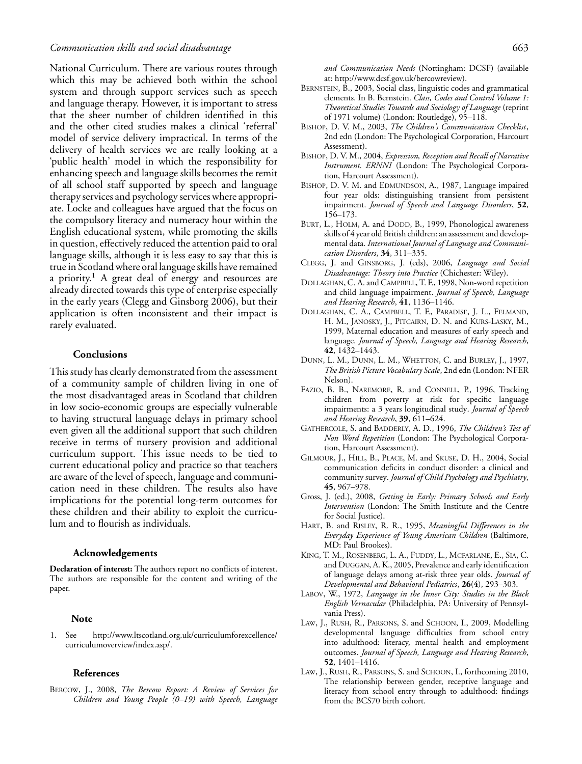#### *Communication skills and social disadvantage* 663

National Curriculum. There are various routes through which this may be achieved both within the school system and through support services such as speech and language therapy. However, it is important to stress that the sheer number of children identified in this and the other cited studies makes a clinical 'referral' model of service delivery impractical. In terms of the delivery of health services we are really looking at a 'public health' model in which the responsibility for enhancing speech and language skills becomes the remit of all school staff supported by speech and language therapy services and psychology services where appropriate. Locke and colleagues have argued that the focus on the compulsory literacy and numeracy hour within the English educational system, while promoting the skills in question, effectively reduced the attention paid to oral language skills, although it is less easy to say that this is true in Scotland where oral language skills have remained a priority.<sup>1</sup> A great deal of energy and resources are already directed towards this type of enterprise especially in the early years (Clegg and Ginsborg 2006), but their application is often inconsistent and their impact is rarely evaluated.

#### **Conclusions**

This study has clearly demonstrated from the assessment of a community sample of children living in one of the most disadvantaged areas in Scotland that children in low socio-economic groups are especially vulnerable to having structural language delays in primary school even given all the additional support that such children receive in terms of nursery provision and additional curriculum support. This issue needs to be tied to current educational policy and practice so that teachers are aware of the level of speech, language and communication need in these children. The results also have implications for the potential long-term outcomes for these children and their ability to exploit the curriculum and to flourish as individuals.

#### **Acknowledgements**

**Declaration of interest:** The authors report no conflicts of interest. The authors are responsible for the content and writing of the paper.

#### **Note**

1. See http://www.ltscotland.org.uk/curriculumforexcellence/ curriculumoverview/index.asp/.

#### **References**

BERCOW, J., 2008, *The Bercow Report: A Review of Services for Children and Young People (0–19) with Speech, Language*

*and Communication Needs* (Nottingham: DCSF) (available at: http://www.dcsf.gov.uk/bercowreview).

- BERNSTEIN, B., 2003, Social class, linguistic codes and grammatical elements. In B. Bernstein. *Class, Codes and Control Volume 1: Theoretical Studies Towards and Sociology of Language* (reprint of 1971 volume) (London: Routledge), 95–118.
- BISHOP, D. V. M., 2003, *The Children's Communication Checklist*, 2nd edn (London: The Psychological Corporation, Harcourt Assessment).
- BISHOP, D. V. M., 2004, *Expression, Reception and Recall of Narrative Instrument. ERNNI* (London: The Psychological Corporation, Harcourt Assessment).
- BISHOP, D. V. M. and EDMUNDSON, A., 1987, Language impaired four year olds: distinguishing transient from persistent impairment. *Journal of Speech and Language Disorders*, **52**, 156–173.
- BURT, L., HOLM, A. and DODD, B., 1999, Phonological awareness skills of 4 year old British children: an assessment and developmental data. *International Journal of Language and Communication Disorders*, **34**, 311–335.
- CLEGG, J. and GINSBORG, J. (eds), 2006, *Language and Social Disadvantage: Theory into Practice* (Chichester: Wiley).
- DOLLAGHAN, C. A. and CAMPBELL, T. F., 1998, Non-word repetition and child language impairment. *Journal of Speech, Language and Hearing Research*, **41**, 1136–1146.
- DOLLAGHAN, C. A., CAMPBELL, T. F., PARADISE, J. L., FELMAND, H. M., JANOSKY, J., PITCAIRN, D. N. and KURS-LASKY, M., 1999, Maternal education and measures of early speech and language. *Journal of Speech, Language and Hearing Research*, **42**, 1432–1443.
- DUNN, L. M., DUNN, L. M., WHETTON, C. and BURLEY, J., 1997, *The British Picture Vocabulary Scale*, 2nd edn (London: NFER Nelson).
- FAZIO, B. B., NAREMORE, R. and CONNELL, P., 1996, Tracking children from poverty at risk for specific language impairments: a 3 years longitudinal study. *Journal of Speech and Hearing Research*, **39**, 611–624.
- GATHERCOLE, S. and BADDERLY, A. D., 1996, *The Children's Test of Non Word Repetition* (London: The Psychological Corporation, Harcourt Assessment).
- GILMOUR, J., HILL, B., PLACE, M. and SKUSE, D. H., 2004, Social communication deficits in conduct disorder: a clinical and community survey. *Journal of Child Psychology and Psychiatry*, **45**, 967–978.
- Gross, J. (ed.), 2008, *Getting in Early: Primary Schools and Early Intervention* (London: The Smith Institute and the Centre for Social Justice).
- HART, B. and RISLEY, R. R., 1995, *Meaningful Differences in the Everyday Experience of Young American Children* (Baltimore, MD: Paul Brookes).
- KING, T. M., ROSENBERG, L. A., FUDDY, L., MCFARLANE, E., SIA, C. and DUGGAN, A. K., 2005, Prevalence and early identification of language delays among at-risk three year olds. *Journal of Developmental and Behavioral Pediatrics*, **26**(**4**), 293–303.
- LABOV, W., 1972, *Language in the Inner City: Studies in the Black English Vernacular* (Philadelphia, PA: University of Pennsylvania Press).
- LAW, J., RUSH, R., PARSONS, S. and SCHOON, I., 2009, Modelling developmental language difficulties from school entry into adulthood: literacy, mental health and employment outcomes. *Journal of Speech, Language and Hearing Research*, **52**, 1401–1416.
- LAW, J., RUSH, R., PARSONS, S. and SCHOON, I., forthcoming 2010, The relationship between gender, receptive language and literacy from school entry through to adulthood: findings from the BCS70 birth cohort.